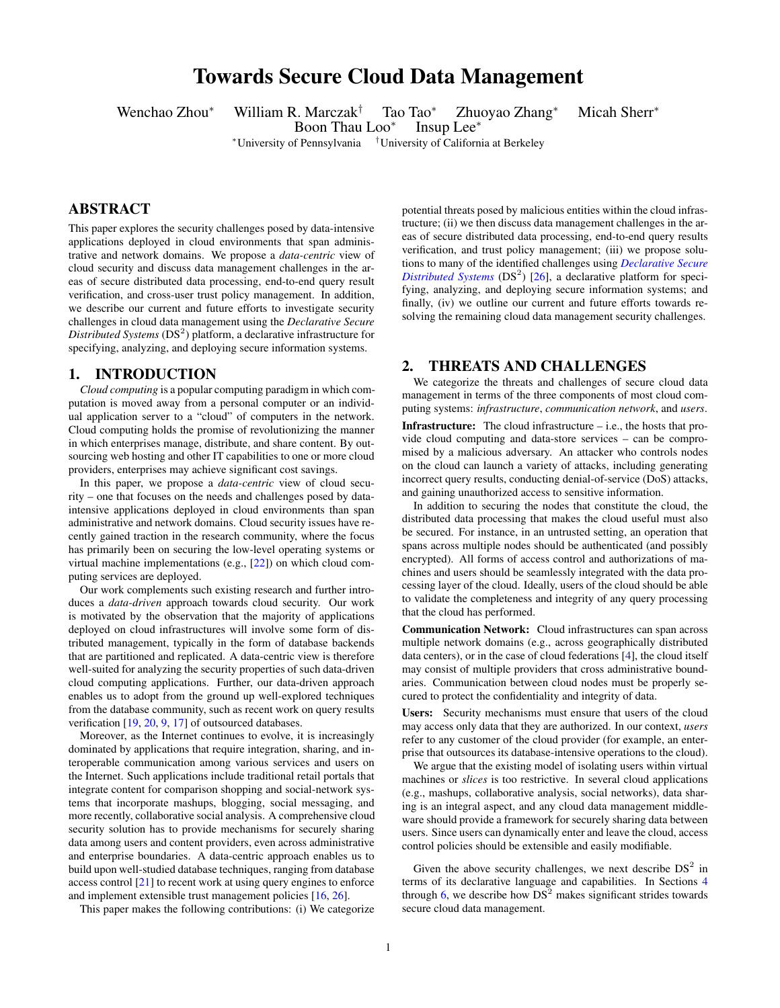# Towards Secure Cloud Data Management

Wenchao Zhou<sup>∗</sup> William R. Marczak† Tao Tao<sup>∗</sup> Zhuoyao Zhang<sup>∗</sup> Micah Sherr<sup>∗</sup>

Boon Thau Loo<sup>∗</sup> Insup Lee<sup>∗</sup>

<sup>∗</sup>University of Pennsylvania †University of California at Berkeley

# ABSTRACT

This paper explores the security challenges posed by data-intensive applications deployed in cloud environments that span administrative and network domains. We propose a *data-centric* view of cloud security and discuss data management challenges in the areas of secure distributed data processing, end-to-end query result verification, and cross-user trust policy management. In addition, we describe our current and future efforts to investigate security challenges in cloud data management using the *Declarative Secure* Distributed Systems (DS<sup>2</sup>) platform, a declarative infrastructure for specifying, analyzing, and deploying secure information systems.

### 1. INTRODUCTION

*Cloud computing* is a popular computing paradigm in which computation is moved away from a personal computer or an individual application server to a "cloud" of computers in the network. Cloud computing holds the promise of revolutionizing the manner in which enterprises manage, distribute, and share content. By outsourcing web hosting and other IT capabilities to one or more cloud providers, enterprises may achieve significant cost savings.

In this paper, we propose a *data-centric* view of cloud security – one that focuses on the needs and challenges posed by dataintensive applications deployed in cloud environments than span administrative and network domains. Cloud security issues have recently gained traction in the research community, where the focus has primarily been on securing the low-level operating systems or virtual machine implementations (e.g., [\[22\]](#page-5-0)) on which cloud computing services are deployed.

Our work complements such existing research and further introduces a *data-driven* approach towards cloud security. Our work is motivated by the observation that the majority of applications deployed on cloud infrastructures will involve some form of distributed management, typically in the form of database backends that are partitioned and replicated. A data-centric view is therefore well-suited for analyzing the security properties of such data-driven cloud computing applications. Further, our data-driven approach enables us to adopt from the ground up well-explored techniques from the database community, such as recent work on query results verification [\[19,](#page-5-1) [20,](#page-5-2) [9,](#page-5-3) [17\]](#page-5-4) of outsourced databases.

Moreover, as the Internet continues to evolve, it is increasingly dominated by applications that require integration, sharing, and interoperable communication among various services and users on the Internet. Such applications include traditional retail portals that integrate content for comparison shopping and social-network systems that incorporate mashups, blogging, social messaging, and more recently, collaborative social analysis. A comprehensive cloud security solution has to provide mechanisms for securely sharing data among users and content providers, even across administrative and enterprise boundaries. A data-centric approach enables us to build upon well-studied database techniques, ranging from database access control [\[21\]](#page-5-5) to recent work at using query engines to enforce and implement extensible trust management policies [\[16,](#page-5-6) [26\]](#page-5-7).

This paper makes the following contributions: (i) We categorize

potential threats posed by malicious entities within the cloud infrastructure; (ii) we then discuss data management challenges in the areas of secure distributed data processing, end-to-end query results verification, and trust policy management; (iii) we propose solutions to many of the identified challenges using *[Declarative Secure](http://netdb.cis.upenn.edu/ds2/) [Distributed Systems](http://netdb.cis.upenn.edu/ds2/)* ( $DS<sup>2</sup>$ ) [\[26\]](#page-5-7), a declarative platform for specifying, analyzing, and deploying secure information systems; and finally, (iv) we outline our current and future efforts towards resolving the remaining cloud data management security challenges.

# <span id="page-0-0"></span>2. THREATS AND CHALLENGES

We categorize the threats and challenges of secure cloud data management in terms of the three components of most cloud computing systems: *infrastructure*, *communication network*, and *users*.

Infrastructure: The cloud infrastructure – i.e., the hosts that provide cloud computing and data-store services – can be compromised by a malicious adversary. An attacker who controls nodes on the cloud can launch a variety of attacks, including generating incorrect query results, conducting denial-of-service (DoS) attacks, and gaining unauthorized access to sensitive information.

In addition to securing the nodes that constitute the cloud, the distributed data processing that makes the cloud useful must also be secured. For instance, in an untrusted setting, an operation that spans across multiple nodes should be authenticated (and possibly encrypted). All forms of access control and authorizations of machines and users should be seamlessly integrated with the data processing layer of the cloud. Ideally, users of the cloud should be able to validate the completeness and integrity of any query processing that the cloud has performed.

Communication Network: Cloud infrastructures can span across multiple network domains (e.g., across geographically distributed data centers), or in the case of cloud federations [\[4\]](#page-5-8), the cloud itself may consist of multiple providers that cross administrative boundaries. Communication between cloud nodes must be properly secured to protect the confidentiality and integrity of data.

Users: Security mechanisms must ensure that users of the cloud may access only data that they are authorized. In our context, *users* refer to any customer of the cloud provider (for example, an enterprise that outsources its database-intensive operations to the cloud).

We argue that the existing model of isolating users within virtual machines or *slices* is too restrictive. In several cloud applications (e.g., mashups, collaborative analysis, social networks), data sharing is an integral aspect, and any cloud data management middleware should provide a framework for securely sharing data between users. Since users can dynamically enter and leave the cloud, access control policies should be extensible and easily modifiable.

Given the above security challenges, we next describe  $DS<sup>2</sup>$  in terms of its declarative language and capabilities. In Sections [4](#page-1-0) through [6,](#page-4-0) we describe how  $DS<sup>2</sup>$  makes significant strides towards secure cloud data management.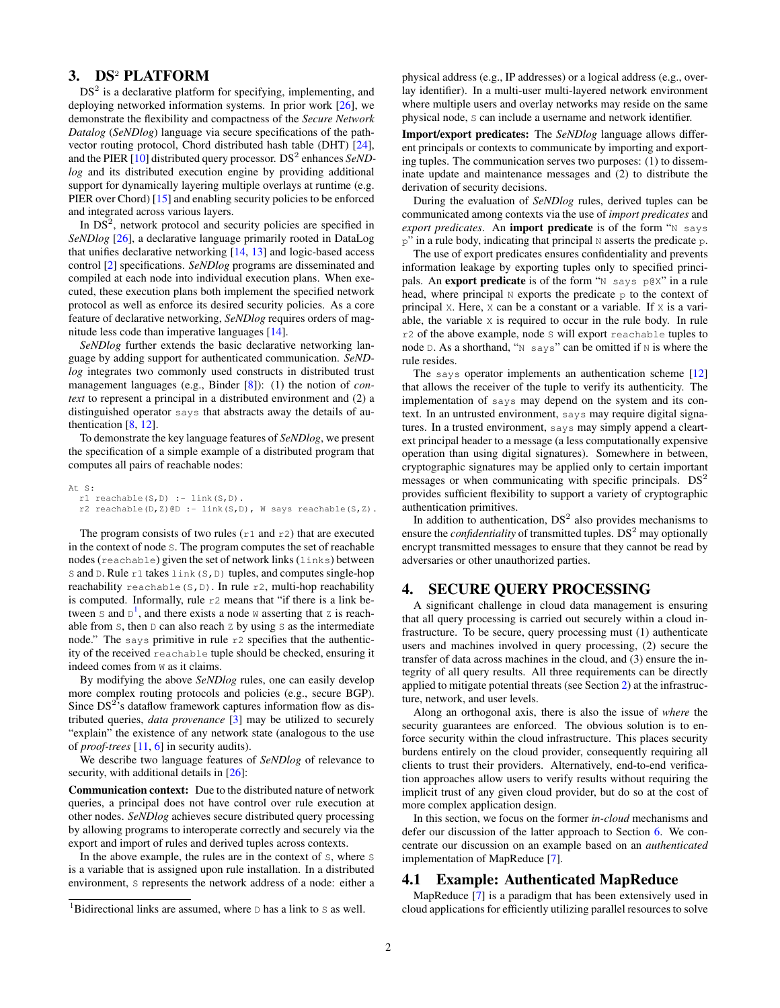# 3. DS<sup>2</sup> PLATFORM

 $DS<sup>2</sup>$  is a declarative platform for specifying, implementing, and deploying networked information systems. In prior work [\[26\]](#page-5-7), we demonstrate the flexibility and compactness of the *Secure Network Datalog* (*SeNDlog*) language via secure specifications of the pathvector routing protocol, Chord distributed hash table (DHT) [\[24\]](#page-5-9), and the PIER [\[10\]](#page-5-10) distributed query processor. DS<sup>2</sup> enhances SeND*log* and its distributed execution engine by providing additional support for dynamically layering multiple overlays at runtime (e.g. PIER over Chord) [\[15\]](#page-5-11) and enabling security policies to be enforced and integrated across various layers.

In  $DS<sup>2</sup>$ , network protocol and security policies are specified in *SeNDlog* [\[26\]](#page-5-7), a declarative language primarily rooted in DataLog that unifies declarative networking [\[14,](#page-5-12) [13\]](#page-5-13) and logic-based access control [\[2\]](#page-5-14) specifications. *SeNDlog* programs are disseminated and compiled at each node into individual execution plans. When executed, these execution plans both implement the specified network protocol as well as enforce its desired security policies. As a core feature of declarative networking, *SeNDlog* requires orders of magnitude less code than imperative languages [\[14\]](#page-5-12).

*SeNDlog* further extends the basic declarative networking language by adding support for authenticated communication. *SeNDlog* integrates two commonly used constructs in distributed trust management languages (e.g., Binder [\[8\]](#page-5-15)): (1) the notion of *context* to represent a principal in a distributed environment and (2) a distinguished operator says that abstracts away the details of authentication [\[8,](#page-5-15) [12\]](#page-5-16).

To demonstrate the key language features of *SeNDlog*, we present the specification of a simple example of a distributed program that computes all pairs of reachable nodes:

```
At S:
 r1 reachable(S,D) :- link(S,D).
  r2 reachable(D,Z)@D :- link(S,D), W says reachable(S,Z).
```
The program consists of two rules ( $r1$  and  $r2$ ) that are executed in the context of node S. The program computes the set of reachable nodes (reachable) given the set of network links (links) between S and D. Rule r1 takes link (S, D) tuples, and computes single-hop reachability reachable(S,D). In rule  $r2$ , multi-hop reachability is computed. Informally, rule  $r2$  means that "if there is a link between  $S$  and  $D^1$  $D^1$ , and there exists a node  $W$  asserting that  $Z$  is reachable from  $S$ , then  $D$  can also reach  $Z$  by using  $S$  as the intermediate node." The says primitive in rule  $r^2$  specifies that the authenticity of the received reachable tuple should be checked, ensuring it indeed comes from W as it claims.

By modifying the above *SeNDlog* rules, one can easily develop more complex routing protocols and policies (e.g., secure BGP). Since  $DS<sup>2</sup>$ 's dataflow framework captures information flow as distributed queries, *data provenance* [\[3\]](#page-5-17) may be utilized to securely "explain" the existence of any network state (analogous to the use of *proof-trees* [\[11,](#page-5-18) [6\]](#page-5-19) in security audits).

We describe two language features of *SeNDlog* of relevance to security, with additional details in  $[26]$ :

Communication context: Due to the distributed nature of network queries, a principal does not have control over rule execution at other nodes. *SeNDlog* achieves secure distributed query processing by allowing programs to interoperate correctly and securely via the export and import of rules and derived tuples across contexts.

In the above example, the rules are in the context of S, where S is a variable that is assigned upon rule installation. In a distributed environment, S represents the network address of a node: either a

physical address (e.g., IP addresses) or a logical address (e.g., overlay identifier). In a multi-user multi-layered network environment where multiple users and overlay networks may reside on the same physical node, S can include a username and network identifier.

Import/export predicates: The *SeNDlog* language allows different principals or contexts to communicate by importing and exporting tuples. The communication serves two purposes: (1) to disseminate update and maintenance messages and (2) to distribute the derivation of security decisions.

During the evaluation of *SeNDlog* rules, derived tuples can be communicated among contexts via the use of *import predicates* and *export predicates*. An import predicate is of the form "N says  $p''$  in a rule body, indicating that principal N asserts the predicate p.

The use of export predicates ensures confidentiality and prevents information leakage by exporting tuples only to specified principals. An export predicate is of the form "N says p@X" in a rule head, where principal N exports the predicate p to the context of principal X. Here, X can be a constant or a variable. If X is a variable, the variable X is required to occur in the rule body. In rule r2 of the above example, node S will export reachable tuples to node  $D$ . As a shorthand, "N says" can be omitted if N is where the rule resides.

The says operator implements an authentication scheme [\[12\]](#page-5-16) that allows the receiver of the tuple to verify its authenticity. The implementation of says may depend on the system and its context. In an untrusted environment, says may require digital signatures. In a trusted environment, says may simply append a cleartext principal header to a message (a less computationally expensive operation than using digital signatures). Somewhere in between, cryptographic signatures may be applied only to certain important messages or when communicating with specific principals.  $DS<sup>2</sup>$ provides sufficient flexibility to support a variety of cryptographic authentication primitives.

In addition to authentication,  $DS<sup>2</sup>$  also provides mechanisms to ensure the *confidentiality* of transmitted tuples.  $DS<sup>2</sup>$  may optionally encrypt transmitted messages to ensure that they cannot be read by adversaries or other unauthorized parties.

# <span id="page-1-0"></span>4. SECURE QUERY PROCESSING

A significant challenge in cloud data management is ensuring that all query processing is carried out securely within a cloud infrastructure. To be secure, query processing must (1) authenticate users and machines involved in query processing, (2) secure the transfer of data across machines in the cloud, and (3) ensure the integrity of all query results. All three requirements can be directly applied to mitigate potential threats (see Section [2\)](#page-0-0) at the infrastructure, network, and user levels.

Along an orthogonal axis, there is also the issue of *where* the security guarantees are enforced. The obvious solution is to enforce security within the cloud infrastructure. This places security burdens entirely on the cloud provider, consequently requiring all clients to trust their providers. Alternatively, end-to-end verification approaches allow users to verify results without requiring the implicit trust of any given cloud provider, but do so at the cost of more complex application design.

In this section, we focus on the former *in-cloud* mechanisms and defer our discussion of the latter approach to Section [6.](#page-4-0) We concentrate our discussion on an example based on an *authenticated* implementation of MapReduce [\[7\]](#page-5-20).

### 4.1 Example: Authenticated MapReduce

MapReduce [\[7\]](#page-5-20) is a paradigm that has been extensively used in cloud applications for efficiently utilizing parallel resources to solve

<span id="page-1-1"></span><sup>&</sup>lt;sup>1</sup>Bidirectional links are assumed, where  $\natural$  has a link to  $\sharp$  as well.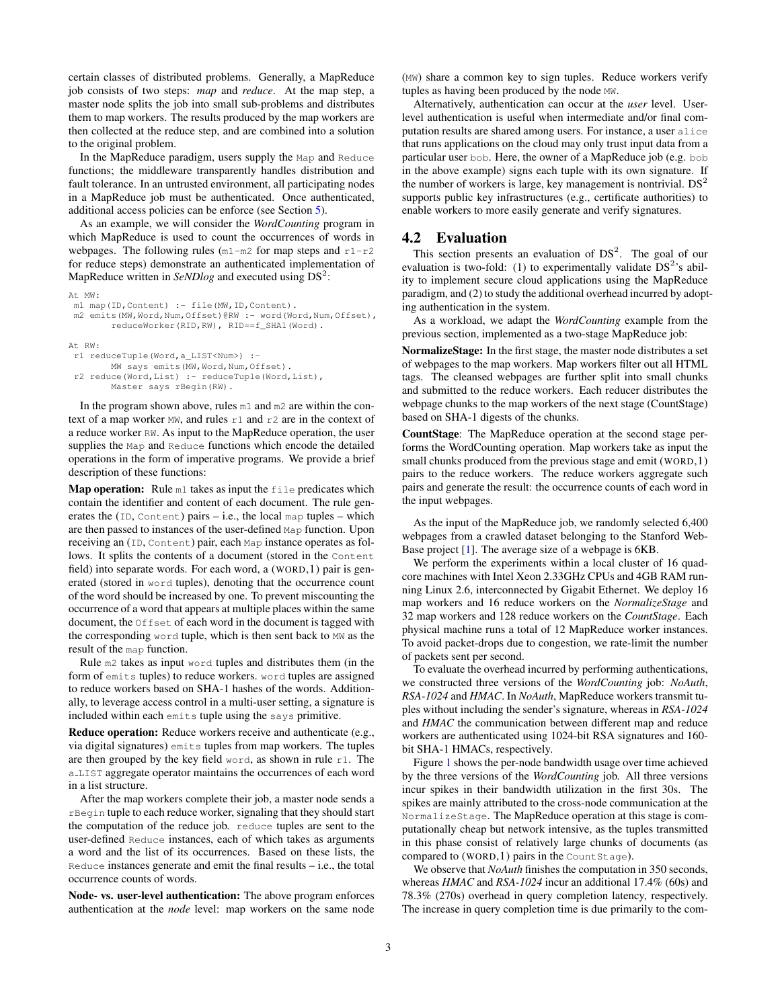certain classes of distributed problems. Generally, a MapReduce job consists of two steps: *map* and *reduce*. At the map step, a master node splits the job into small sub-problems and distributes them to map workers. The results produced by the map workers are then collected at the reduce step, and are combined into a solution to the original problem.

In the MapReduce paradigm, users supply the Map and Reduce functions; the middleware transparently handles distribution and fault tolerance. In an untrusted environment, all participating nodes in a MapReduce job must be authenticated. Once authenticated, additional access policies can be enforce (see Section [5\)](#page-3-0).

As an example, we will consider the *WordCounting* program in which MapReduce is used to count the occurrences of words in webpages. The following rules ( $m1-m2$  for map steps and  $r1-r2$ for reduce steps) demonstrate an authenticated implementation of MapReduce written in *SeNDlog* and executed using DS<sup>2</sup>:

```
At MW:
```

```
m1 map(ID, Content) :- file(MW, ID, Content).
m2 emits(MW, Word, Num, Offset)@RW :- word(Word, Num, Offset),
        reduceWorker(RID,RW), RID==f_SHA1(Word).
At RW:
r1 reduceTuple(Word,a_LIST<Num>) :-
        MW says emits(MW,Word,Num,Offset).
 r2 reduce(Word,List) :- reduceTuple(Word,List),
        Master says rBegin(RW).
```
In the program shown above, rules m1 and m2 are within the context of a map worker MW, and rules r1 and r2 are in the context of a reduce worker RW. As input to the MapReduce operation, the user supplies the Map and Reduce functions which encode the detailed operations in the form of imperative programs. We provide a brief description of these functions:

**Map operation:** Rule  $m1$  takes as input the  $f$ <sub>ile</sub> predicates which contain the identifier and content of each document. The rule generates the  $(ID,$  Content) pairs – i.e., the local map tuples – which are then passed to instances of the user-defined Map function. Upon receiving an (ID, Content) pair, each Map instance operates as follows. It splits the contents of a document (stored in the Content field) into separate words. For each word, a (WORD,1) pair is generated (stored in word tuples), denoting that the occurrence count of the word should be increased by one. To prevent miscounting the occurrence of a word that appears at multiple places within the same document, the Offset of each word in the document is tagged with the corresponding word tuple, which is then sent back to MW as the result of the map function.

Rule m2 takes as input word tuples and distributes them (in the form of emits tuples) to reduce workers. word tuples are assigned to reduce workers based on SHA-1 hashes of the words. Additionally, to leverage access control in a multi-user setting, a signature is included within each emits tuple using the says primitive.

Reduce operation: Reduce workers receive and authenticate (e.g., via digital signatures) emits tuples from map workers. The tuples are then grouped by the key field word, as shown in rule  $r1$ . The a LIST aggregate operator maintains the occurrences of each word in a list structure.

After the map workers complete their job, a master node sends a rBegin tuple to each reduce worker, signaling that they should start the computation of the reduce job. reduce tuples are sent to the user-defined Reduce instances, each of which takes as arguments a word and the list of its occurrences. Based on these lists, the Reduce instances generate and emit the final results  $-$  i.e., the total occurrence counts of words.

Node- vs. user-level authentication: The above program enforces authentication at the *node* level: map workers on the same node

(MW) share a common key to sign tuples. Reduce workers verify tuples as having been produced by the node MW.

Alternatively, authentication can occur at the *user* level. Userlevel authentication is useful when intermediate and/or final computation results are shared among users. For instance, a user alice that runs applications on the cloud may only trust input data from a particular user bob. Here, the owner of a MapReduce job (e.g. bob in the above example) signs each tuple with its own signature. If the number of workers is large, key management is nontrivial.  $DS<sup>2</sup>$ supports public key infrastructures (e.g., certificate authorities) to enable workers to more easily generate and verify signatures.

# 4.2 Evaluation

This section presents an evaluation of  $DS<sup>2</sup>$ . The goal of our evaluation is two-fold: (1) to experimentally validate  $DS<sup>2</sup>$ 's ability to implement secure cloud applications using the MapReduce paradigm, and (2) to study the additional overhead incurred by adopting authentication in the system.

As a workload, we adapt the *WordCounting* example from the previous section, implemented as a two-stage MapReduce job:

NormalizeStage: In the first stage, the master node distributes a set of webpages to the map workers. Map workers filter out all HTML tags. The cleansed webpages are further split into small chunks and submitted to the reduce workers. Each reducer distributes the webpage chunks to the map workers of the next stage (CountStage) based on SHA-1 digests of the chunks.

CountStage: The MapReduce operation at the second stage performs the WordCounting operation. Map workers take as input the small chunks produced from the previous stage and emit (WORD,1) pairs to the reduce workers. The reduce workers aggregate such pairs and generate the result: the occurrence counts of each word in the input webpages.

As the input of the MapReduce job, we randomly selected 6,400 webpages from a crawled dataset belonging to the Stanford Web-Base project [\[1\]](#page-5-21). The average size of a webpage is 6KB.

We perform the experiments within a local cluster of 16 quadcore machines with Intel Xeon 2.33GHz CPUs and 4GB RAM running Linux 2.6, interconnected by Gigabit Ethernet. We deploy 16 map workers and 16 reduce workers on the *NormalizeStage* and 32 map workers and 128 reduce workers on the *CountStage*. Each physical machine runs a total of 12 MapReduce worker instances. To avoid packet-drops due to congestion, we rate-limit the number of packets sent per second.

To evaluate the overhead incurred by performing authentications, we constructed three versions of the *WordCounting* job: *NoAuth*, *RSA-1024* and *HMAC*. In *NoAuth*, MapReduce workers transmit tuples without including the sender's signature, whereas in *RSA-1024* and *HMAC* the communication between different map and reduce workers are authenticated using 1024-bit RSA signatures and 160 bit SHA-1 HMACs, respectively.

Figure [1](#page-4-1) shows the per-node bandwidth usage over time achieved by the three versions of the *WordCounting* job. All three versions incur spikes in their bandwidth utilization in the first 30s. The spikes are mainly attributed to the cross-node communication at the NormalizeStage. The MapReduce operation at this stage is computationally cheap but network intensive, as the tuples transmitted in this phase consist of relatively large chunks of documents (as compared to (WORD,1) pairs in the CountStage).

We observe that *NoAuth* finishes the computation in 350 seconds, whereas *HMAC* and *RSA-1024* incur an additional 17.4% (60s) and 78.3% (270s) overhead in query completion latency, respectively. The increase in query completion time is due primarily to the com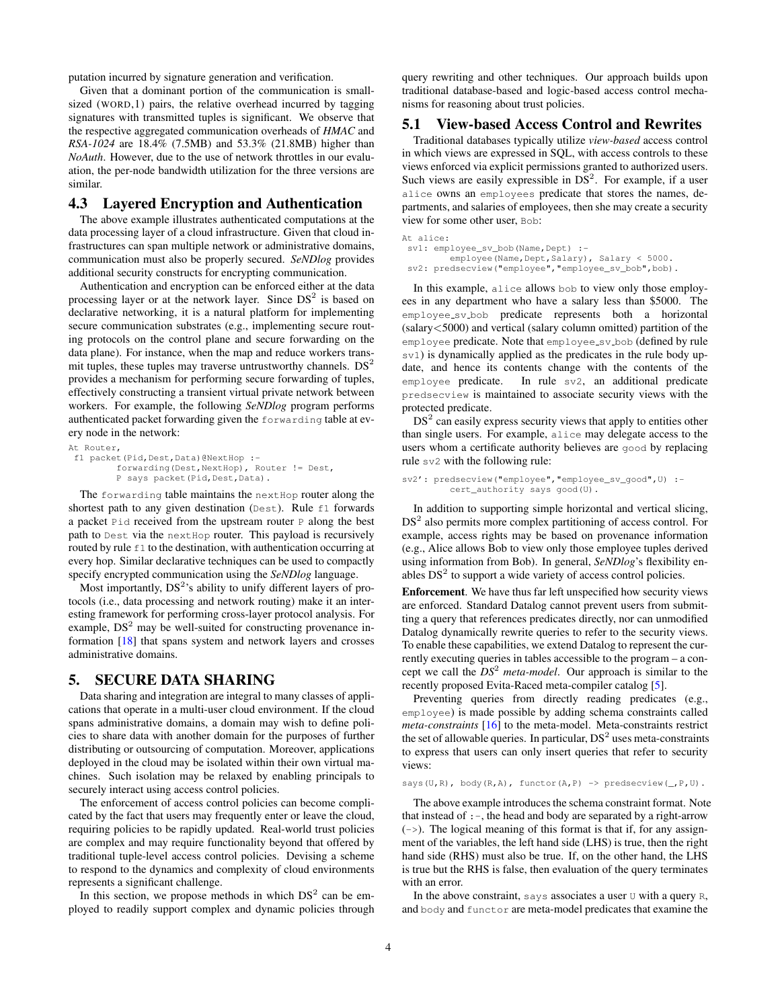putation incurred by signature generation and verification.

Given that a dominant portion of the communication is smallsized (WORD, 1) pairs, the relative overhead incurred by tagging signatures with transmitted tuples is significant. We observe that the respective aggregated communication overheads of *HMAC* and *RSA-1024* are 18.4% (7.5MB) and 53.3% (21.8MB) higher than *NoAuth*. However, due to the use of network throttles in our evaluation, the per-node bandwidth utilization for the three versions are similar.

## 4.3 Layered Encryption and Authentication

The above example illustrates authenticated computations at the data processing layer of a cloud infrastructure. Given that cloud infrastructures can span multiple network or administrative domains, communication must also be properly secured. *SeNDlog* provides additional security constructs for encrypting communication.

Authentication and encryption can be enforced either at the data processing layer or at the network layer. Since  $DS<sup>2</sup>$  is based on declarative networking, it is a natural platform for implementing secure communication substrates (e.g., implementing secure routing protocols on the control plane and secure forwarding on the data plane). For instance, when the map and reduce workers transmit tuples, these tuples may traverse untrustworthy channels.  $DS<sup>2</sup>$ provides a mechanism for performing secure forwarding of tuples, effectively constructing a transient virtual private network between workers. For example, the following *SeNDlog* program performs authenticated packet forwarding given the forwarding table at every node in the network:

```
At Router,
f1 packet(Pid,Dest,Data)@NextHop :-
         forwarding(Dest,NextHop), Router != Dest,
         P says packet(Pid,Dest,Data).
```
The forwarding table maintains the next Hop router along the shortest path to any given destination (Dest). Rule f1 forwards a packet Pid received from the upstream router P along the best path to Dest via the next Hop router. This payload is recursively routed by rule  $f1$  to the destination, with authentication occurring at every hop. Similar declarative techniques can be used to compactly specify encrypted communication using the *SeNDlog* language.

Most importantly,  $DS<sup>2</sup>$ 's ability to unify different layers of protocols (i.e., data processing and network routing) make it an interesting framework for performing cross-layer protocol analysis. For example,  $DS<sup>2</sup>$  may be well-suited for constructing provenance information [\[18\]](#page-5-22) that spans system and network layers and crosses administrative domains.

# <span id="page-3-0"></span>5. SECURE DATA SHARING

Data sharing and integration are integral to many classes of applications that operate in a multi-user cloud environment. If the cloud spans administrative domains, a domain may wish to define policies to share data with another domain for the purposes of further distributing or outsourcing of computation. Moreover, applications deployed in the cloud may be isolated within their own virtual machines. Such isolation may be relaxed by enabling principals to securely interact using access control policies.

The enforcement of access control policies can become complicated by the fact that users may frequently enter or leave the cloud, requiring policies to be rapidly updated. Real-world trust policies are complex and may require functionality beyond that offered by traditional tuple-level access control policies. Devising a scheme to respond to the dynamics and complexity of cloud environments represents a significant challenge.

In this section, we propose methods in which  $DS<sup>2</sup>$  can be employed to readily support complex and dynamic policies through

query rewriting and other techniques. Our approach builds upon traditional database-based and logic-based access control mechanisms for reasoning about trust policies.

#### 5.1 View-based Access Control and Rewrites

Traditional databases typically utilize *view-based* access control in which views are expressed in SQL, with access controls to these views enforced via explicit permissions granted to authorized users. Such views are easily expressible in  $DS<sup>2</sup>$ . For example, if a user alice owns an employees predicate that stores the names, departments, and salaries of employees, then she may create a security view for some other user, Bob:

```
At alice:
sv1: employee_sv_bob(Name, Dept) :-
         employee(Name, Dept, Salary), Salary < 5000.
 sv2: predsecview("employee","employee_sv_bob",bob).
```
In this example, alice allows bob to view only those employees in any department who have a salary less than \$5000. The employee sv bob predicate represents both a horizontal (salary<5000) and vertical (salary column omitted) partition of the employee predicate. Note that employee sv bob (defined by rule sv1) is dynamically applied as the predicates in the rule body update, and hence its contents change with the contents of the employee predicate. In rule sv2, an additional predicate predsecview is maintained to associate security views with the protected predicate.

 $DS<sup>2</sup>$  can easily express security views that apply to entities other than single users. For example, alice may delegate access to the users whom a certificate authority believes are good by replacing rule sv2 with the following rule:

```
sv2': predsecview("employee","employee_sv_good", U) :-
         cert_authority says good(U).
```
In addition to supporting simple horizontal and vertical slicing, DS<sup>2</sup> also permits more complex partitioning of access control. For example, access rights may be based on provenance information (e.g., Alice allows Bob to view only those employee tuples derived using information from Bob). In general, *SeNDlog*'s flexibility enables  $DS<sup>2</sup>$  to support a wide variety of access control policies.

Enforcement. We have thus far left unspecified how security views are enforced. Standard Datalog cannot prevent users from submitting a query that references predicates directly, nor can unmodified Datalog dynamically rewrite queries to refer to the security views. To enable these capabilities, we extend Datalog to represent the currently executing queries in tables accessible to the program – a concept we call the *DS*<sup>2</sup> *meta-model*. Our approach is similar to the recently proposed Evita-Raced meta-compiler catalog [\[5\]](#page-5-23).

Preventing queries from directly reading predicates (e.g., employee) is made possible by adding schema constraints called *meta-constraints* [\[16\]](#page-5-6) to the meta-model. Meta-constraints restrict the set of allowable queries. In particular,  $DS<sup>2</sup>$  uses meta-constraints to express that users can only insert queries that refer to security views:

says(U,R), body(R,A), functor(A,P) -> predsecview(\_,P,U).

The above example introduces the schema constraint format. Note that instead of  $:-$ , the head and body are separated by a right-arrow  $(-)$ . The logical meaning of this format is that if, for any assignment of the variables, the left hand side (LHS) is true, then the right hand side (RHS) must also be true. If, on the other hand, the LHS is true but the RHS is false, then evaluation of the query terminates with an error.

In the above constraint, says associates a user  $U$  with a query R, and body and functor are meta-model predicates that examine the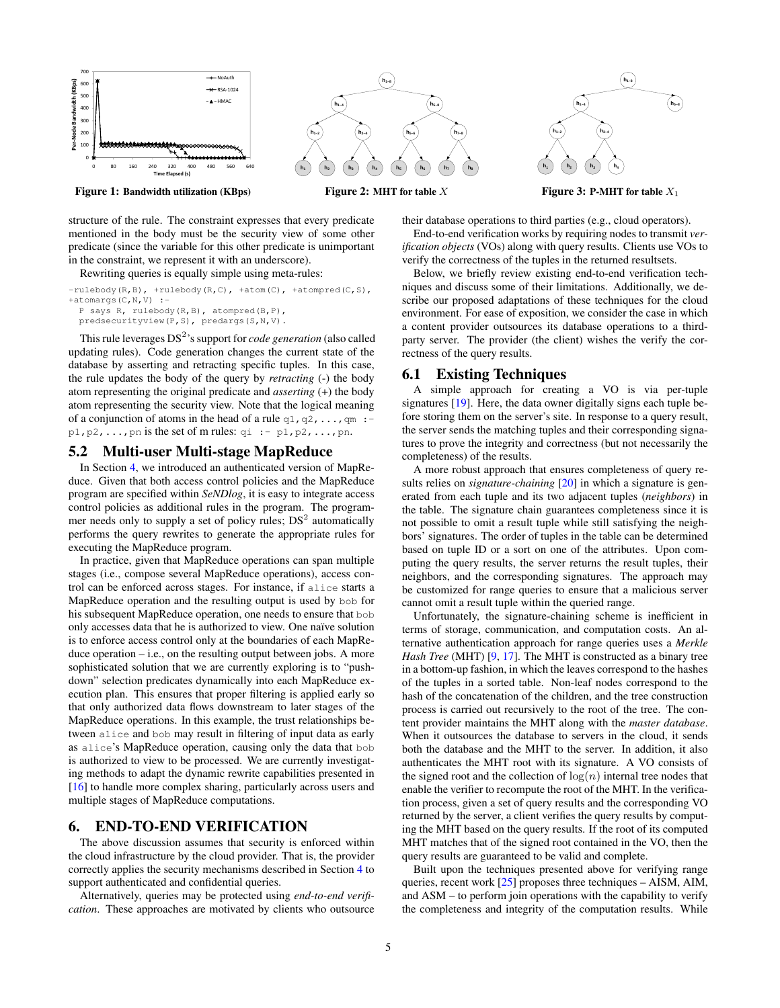

Figure 1: Bandwidth utilization (KBps)

structure of the rule. The constraint expresses that every predicate mentioned in the body must be the security view of some other predicate (since the variable for this other predicate is unimportant in the constraint, we represent it with an underscore).

#### Rewriting queries is equally simple using meta-rules:

```
-rulebody(R,B), +rulebody(R,C), +atom(C), +atom(C,C),
+atomargs(C, N, V) :-
 P says R, rulebody(R,B), atompred(B,P),
 predsecurityview(P,S), predargs(S,N,V).
```
This rule leverages DS<sup>2</sup>'s support for *code generation* (also called updating rules). Code generation changes the current state of the database by asserting and retracting specific tuples. In this case, the rule updates the body of the query by *retracting* (-) the body atom representing the original predicate and *asserting* (+) the body atom representing the security view. Note that the logical meaning of a conjunction of atoms in the head of a rule  $q_1, q_2, \ldots, q_m$  : $p1, p2, \ldots$ , pn is the set of m rules:  $qi \rightarrow p1, p2, \ldots, pn$ .

#### 5.2 Multi-user Multi-stage MapReduce

In Section [4,](#page-1-0) we introduced an authenticated version of MapReduce. Given that both access control policies and the MapReduce program are specified within *SeNDlog*, it is easy to integrate access control policies as additional rules in the program. The programmer needs only to supply a set of policy rules;  $DS<sup>2</sup>$  automatically performs the query rewrites to generate the appropriate rules for executing the MapReduce program.

In practice, given that MapReduce operations can span multiple stages (i.e., compose several MapReduce operations), access control can be enforced across stages. For instance, if alice starts a MapReduce operation and the resulting output is used by bob for his subsequent MapReduce operation, one needs to ensure that bob only accesses data that he is authorized to view. One naïve solution is to enforce access control only at the boundaries of each MapReduce operation  $-$  i.e., on the resulting output between jobs. A more sophisticated solution that we are currently exploring is to "pushdown" selection predicates dynamically into each MapReduce execution plan. This ensures that proper filtering is applied early so that only authorized data flows downstream to later stages of the MapReduce operations. In this example, the trust relationships between alice and bob may result in filtering of input data as early as alice's MapReduce operation, causing only the data that bob is authorized to view to be processed. We are currently investigating methods to adapt the dynamic rewrite capabilities presented in [\[16\]](#page-5-6) to handle more complex sharing, particularly across users and multiple stages of MapReduce computations.

#### <span id="page-4-0"></span>6. END-TO-END VERIFICATION

The above discussion assumes that security is enforced within the cloud infrastructure by the cloud provider. That is, the provider correctly applies the security mechanisms described in Section [4](#page-1-0) to support authenticated and confidential queries.

Alternatively, queries may be protected using *end-to-end verification*. These approaches are motivated by clients who outsource



<span id="page-4-1"></span>Figure 2: MHT for table X



<span id="page-4-3"></span><span id="page-4-2"></span>Figure 3: P-MHT for table  $X_1$ 

their database operations to third parties (e.g., cloud operators).

End-to-end verification works by requiring nodes to transmit *verification objects* (VOs) along with query results. Clients use VOs to verify the correctness of the tuples in the returned resultsets.

Below, we briefly review existing end-to-end verification techniques and discuss some of their limitations. Additionally, we describe our proposed adaptations of these techniques for the cloud environment. For ease of exposition, we consider the case in which a content provider outsources its database operations to a thirdparty server. The provider (the client) wishes the verify the correctness of the query results.

#### 6.1 Existing Techniques

A simple approach for creating a VO is via per-tuple signatures [\[19\]](#page-5-1). Here, the data owner digitally signs each tuple before storing them on the server's site. In response to a query result, the server sends the matching tuples and their corresponding signatures to prove the integrity and correctness (but not necessarily the completeness) of the results.

A more robust approach that ensures completeness of query results relies on *signature-chaining* [\[20\]](#page-5-2) in which a signature is generated from each tuple and its two adjacent tuples (*neighbors*) in the table. The signature chain guarantees completeness since it is not possible to omit a result tuple while still satisfying the neighbors' signatures. The order of tuples in the table can be determined based on tuple ID or a sort on one of the attributes. Upon computing the query results, the server returns the result tuples, their neighbors, and the corresponding signatures. The approach may be customized for range queries to ensure that a malicious server cannot omit a result tuple within the queried range.

Unfortunately, the signature-chaining scheme is inefficient in terms of storage, communication, and computation costs. An alternative authentication approach for range queries uses a *Merkle Hash Tree* (MHT) [\[9,](#page-5-3) [17\]](#page-5-4). The MHT is constructed as a binary tree in a bottom-up fashion, in which the leaves correspond to the hashes of the tuples in a sorted table. Non-leaf nodes correspond to the hash of the concatenation of the children, and the tree construction process is carried out recursively to the root of the tree. The content provider maintains the MHT along with the *master database*. When it outsources the database to servers in the cloud, it sends both the database and the MHT to the server. In addition, it also authenticates the MHT root with its signature. A VO consists of the signed root and the collection of  $log(n)$  internal tree nodes that enable the verifier to recompute the root of the MHT. In the verification process, given a set of query results and the corresponding VO returned by the server, a client verifies the query results by computing the MHT based on the query results. If the root of its computed MHT matches that of the signed root contained in the VO, then the query results are guaranteed to be valid and complete.

Built upon the techniques presented above for verifying range queries, recent work [\[25\]](#page-5-24) proposes three techniques – AISM, AIM, and ASM – to perform join operations with the capability to verify the completeness and integrity of the computation results. While